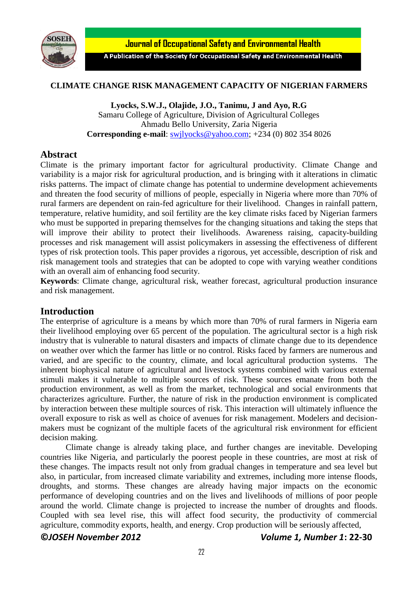

**Journal of Occupational Safety and Environmental Health** 

A Publication of the Society for Occupational Safety and Environmental Health

### **CLIMATE CHANGE RISK MANAGEMENT CAPACITY OF NIGERIAN FARMERS**

**Lyocks, S.W.J., Olajide, J.O., Tanimu, J and Ayo, R.G** Samaru College of Agriculture, Division of Agricultural Colleges Ahmadu Bello University, Zaria Nigeria **Corresponding e-mail**: [swjlyocks@yahoo.com;](mailto:swjlyocks@yahoo.com) +234 (0) 802 354 8026

# **Abstract**

Climate is the primary important factor for agricultural productivity. Climate Change and variability is a major risk for agricultural production, and is bringing with it alterations in climatic risks patterns. The impact of climate change has potential to undermine development achievements and threaten the food security of millions of people, especially in Nigeria where more than 70% of rural farmers are dependent on rain-fed agriculture for their livelihood. Changes in rainfall pattern, temperature, relative humidity, and soil fertility are the key climate risks faced by Nigerian farmers who must be supported in preparing themselves for the changing situations and taking the steps that will improve their ability to protect their livelihoods. Awareness raising, capacity-building processes and risk management will assist policymakers in assessing the effectiveness of different types of risk protection tools. This paper provides a rigorous, yet accessible, description of risk and risk management tools and strategies that can be adopted to cope with varying weather conditions with an overall aim of enhancing food security.

**Keywords**: Climate change, agricultural risk, weather forecast, agricultural production insurance and risk management.

# **Introduction**

The enterprise of agriculture is a means by which more than 70% of rural farmers in Nigeria earn their livelihood employing over 65 percent of the population. The agricultural sector is a high risk industry that is vulnerable to natural disasters and impacts of climate change due to its dependence on weather over which the farmer has little or no control. Risks faced by farmers are numerous and varied, and are specific to the country, climate, and local agricultural production systems. The inherent biophysical nature of agricultural and livestock systems combined with various external stimuli makes it vulnerable to multiple sources of risk. These sources emanate from both the production environment, as well as from the market, technological and social environments that characterizes agriculture. Further, the nature of risk in the production environment is complicated by interaction between these multiple sources of risk. This interaction will ultimately influence the overall exposure to risk as well as choice of avenues for risk management. Modelers and decisionmakers must be cognizant of the multiple facets of the agricultural risk environment for efficient decision making.

Climate change is already taking place, and further changes are inevitable. Developing countries like Nigeria, and particularly the poorest people in these countries, are most at risk of these changes. The impacts result not only from gradual changes in temperature and sea level but also, in particular, from increased climate variability and extremes, including more intense floods, droughts, and storms. These changes are already having major impacts on the economic performance of developing countries and on the lives and livelihoods of millions of poor people around the world. Climate change is projected to increase the number of droughts and floods. Coupled with sea level rise, this will affect food security, the productivity of commercial agriculture, commodity exports, health, and energy. Crop production will be seriously affected,

**©***JOSEH November 2012 Volume 1, Number 1***: 22-30**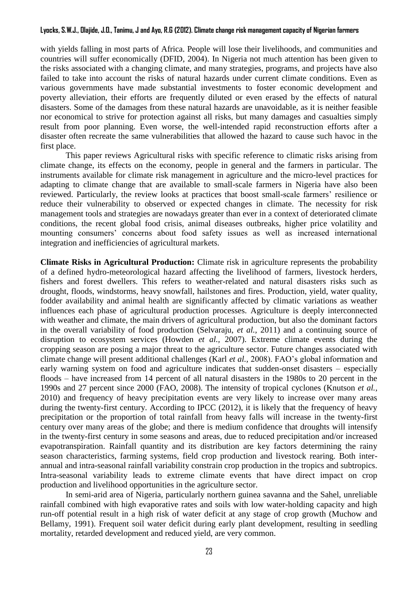with yields falling in most parts of Africa. People will lose their livelihoods, and communities and countries will suffer economically (DFID, 2004). In Nigeria not much attention has been given to the risks associated with a changing climate, and many strategies, programs, and projects have also failed to take into account the risks of natural hazards under current climate conditions. Even as various governments have made substantial investments to foster economic development and poverty alleviation, their efforts are frequently diluted or even erased by the effects of natural disasters. Some of the damages from these natural hazards are unavoidable, as it is neither feasible nor economical to strive for protection against all risks, but many damages and casualties simply result from poor planning. Even worse, the well-intended rapid reconstruction efforts after a disaster often recreate the same vulnerabilities that allowed the hazard to cause such havoc in the first place.

This paper reviews Agricultural risks with specific reference to climatic risks arising from climate change, its effects on the economy, people in general and the farmers in particular. The instruments available for climate risk management in agriculture and the micro-level practices for adapting to climate change that are available to small-scale farmers in Nigeria have also been reviewed. Particularly, the review looks at practices that boost small-scale farmers' resilience or reduce their vulnerability to observed or expected changes in climate. The necessity for risk management tools and strategies are nowadays greater than ever in a context of deteriorated climate conditions, the recent global food crisis, animal diseases outbreaks, higher price volatility and mounting consumers' concerns about food safety issues as well as increased international integration and inefficiencies of agricultural markets.

**Climate Risks in Agricultural Production:** Climate risk in agriculture represents the probability of a defined hydro-meteorological hazard affecting the livelihood of farmers, livestock herders, fishers and forest dwellers. This refers to weather-related and natural disasters risks such as drought, floods, windstorms, heavy snowfall, hailstones and fires. Production, yield, water quality, fodder availability and animal health are significantly affected by climatic variations as weather influences each phase of agricultural production processes. Agriculture is deeply interconnected with weather and climate, the main drivers of agricultural production, but also the dominant factors in the overall variability of food production (Selvaraju, *et al.,* 2011) and a continuing source of disruption to ecosystem services (Howden *et al.,* 2007). Extreme climate events during the cropping season are posing a major threat to the agriculture sector. Future changes associated with climate change will present additional challenges (Karl *et al.,* 2008). FAO's global information and early warning system on food and agriculture indicates that sudden-onset disasters – especially floods – have increased from 14 percent of all natural disasters in the 1980s to 20 percent in the 1990s and 27 percent since 2000 (FAO, 2008). The intensity of tropical cyclones (Knutson *et al.,* 2010) and frequency of heavy precipitation events are very likely to increase over many areas during the twenty-first century. According to IPCC (2012), it is likely that the frequency of heavy precipitation or the proportion of total rainfall from heavy falls will increase in the twenty-first century over many areas of the globe; and there is medium confidence that droughts will intensify in the twenty-first century in some seasons and areas, due to reduced precipitation and/or increased evapotranspiration. Rainfall quantity and its distribution are key factors determining the rainy season characteristics, farming systems, field crop production and livestock rearing. Both interannual and intra-seasonal rainfall variability constrain crop production in the tropics and subtropics. Intra-seasonal variability leads to extreme climate events that have direct impact on crop production and livelihood opportunities in the agriculture sector.

In semi-arid area of Nigeria, particularly northern guinea savanna and the Sahel, unreliable rainfall combined with high evaporative rates and soils with low water-holding capacity and high run-off potential result in a high risk of water deficit at any stage of crop growth (Muchow and Bellamy, 1991). Frequent soil water deficit during early plant development, resulting in seedling mortality, retarded development and reduced yield, are very common.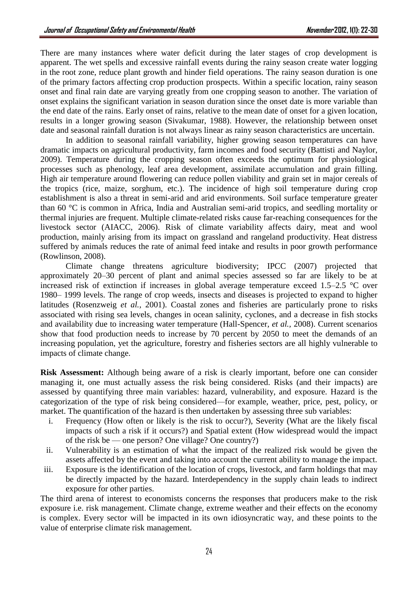There are many instances where water deficit during the later stages of crop development is apparent. The wet spells and excessive rainfall events during the rainy season create water logging in the root zone, reduce plant growth and hinder field operations. The rainy season duration is one of the primary factors affecting crop production prospects. Within a specific location, rainy season onset and final rain date are varying greatly from one cropping season to another. The variation of onset explains the significant variation in season duration since the onset date is more variable than the end date of the rains. Early onset of rains, relative to the mean date of onset for a given location, results in a longer growing season (Sivakumar, 1988). However, the relationship between onset date and seasonal rainfall duration is not always linear as rainy season characteristics are uncertain.

In addition to seasonal rainfall variability, higher growing season temperatures can have dramatic impacts on agricultural productivity, farm incomes and food security (Battisti and Naylor, 2009). Temperature during the cropping season often exceeds the optimum for physiological processes such as phenology, leaf area development, assimilate accumulation and grain filling. High air temperature around flowering can reduce pollen viability and grain set in major cereals of the tropics (rice, maize, sorghum, etc.). The incidence of high soil temperature during crop establishment is also a threat in semi-arid and arid environments. Soil surface temperature greater than 60 °C is common in Africa, India and Australian semi-arid tropics, and seedling mortality or thermal injuries are frequent. Multiple climate-related risks cause far-reaching consequences for the livestock sector (AIACC, 2006). Risk of climate variability affects dairy, meat and wool production, mainly arising from its impact on grassland and rangeland productivity. Heat distress suffered by animals reduces the rate of animal feed intake and results in poor growth performance (Rowlinson, 2008).

Climate change threatens agriculture biodiversity; IPCC (2007) projected that approximately 20–30 percent of plant and animal species assessed so far are likely to be at increased risk of extinction if increases in global average temperature exceed 1.5–2.5 °C over 1980– 1999 levels. The range of crop weeds, insects and diseases is projected to expand to higher latitudes (Rosenzweig *et al.,* 2001). Coastal zones and fisheries are particularly prone to risks associated with rising sea levels, changes in ocean salinity, cyclones, and a decrease in fish stocks and availability due to increasing water temperature (Hall-Spencer, *et al.,* 2008). Current scenarios show that food production needs to increase by 70 percent by 2050 to meet the demands of an increasing population, yet the agriculture, forestry and fisheries sectors are all highly vulnerable to impacts of climate change.

**Risk Assessment:** Although being aware of a risk is clearly important, before one can consider managing it, one must actually assess the risk being considered. Risks (and their impacts) are assessed by quantifying three main variables: hazard, vulnerability, and exposure. Hazard is the categorization of the type of risk being considered—for example, weather, price, pest, policy, or market. The quantification of the hazard is then undertaken by assessing three sub variables:

- i. Frequency (How often or likely is the risk to occur?), Severity (What are the likely fiscal impacts of such a risk if it occurs?) and Spatial extent (How widespread would the impact of the risk be — one person? One village? One country?)
- ii. Vulnerability is an estimation of what the impact of the realized risk would be given the assets affected by the event and taking into account the current ability to manage the impact.
- iii. Exposure is the identification of the location of crops, livestock, and farm holdings that may be directly impacted by the hazard. Interdependency in the supply chain leads to indirect exposure for other parties.

The third arena of interest to economists concerns the responses that producers make to the risk exposure i.e. risk management. Climate change, extreme weather and their effects on the economy is complex. Every sector will be impacted in its own idiosyncratic way, and these points to the value of enterprise climate risk management.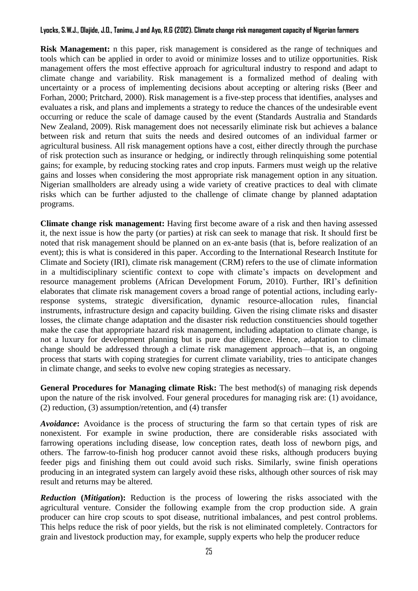**Risk Management:** n this paper, risk management is considered as the range of techniques and tools which can be applied in order to avoid or minimize losses and to utilize opportunities. Risk management offers the most effective approach for agricultural industry to respond and adapt to climate change and variability. Risk management is a formalized method of dealing with uncertainty or a process of implementing decisions about accepting or altering risks (Beer and Forhan, 2000; Pritchard, 2000). Risk management is a five-step process that identifies, analyses and evaluates a risk, and plans and implements a strategy to reduce the chances of the undesirable event occurring or reduce the scale of damage caused by the event (Standards Australia and Standards New Zealand, 2009). Risk management does not necessarily eliminate risk but achieves a balance between risk and return that suits the needs and desired outcomes of an individual farmer or agricultural business. All risk management options have a cost, either directly through the purchase of risk protection such as insurance or hedging, or indirectly through relinquishing some potential gains; for example, by reducing stocking rates and crop inputs. Farmers must weigh up the relative gains and losses when considering the most appropriate risk management option in any situation. Nigerian smallholders are already using a wide variety of creative practices to deal with climate risks which can be further adjusted to the challenge of climate change by planned adaptation programs.

**Climate change risk management:** Having first become aware of a risk and then having assessed it, the next issue is how the party (or parties) at risk can seek to manage that risk. It should first be noted that risk management should be planned on an ex-ante basis (that is, before realization of an event); this is what is considered in this paper. According to the International Research Institute for Climate and Society (IRI), climate risk management (CRM) refers to the use of climate information in a multidisciplinary scientific context to cope with climate's impacts on development and resource management problems (African Development Forum, 2010). Further, IRI's definition elaborates that climate risk management covers a broad range of potential actions, including earlyresponse systems, strategic diversification, dynamic resource-allocation rules, financial instruments, infrastructure design and capacity building. Given the rising climate risks and disaster losses, the climate change adaptation and the disaster risk reduction constituencies should together make the case that appropriate hazard risk management, including adaptation to climate change, is not a luxury for development planning but is pure due diligence. Hence, adaptation to climate change should be addressed through a climate risk management approach—that is, an ongoing process that starts with coping strategies for current climate variability, tries to anticipate changes in climate change, and seeks to evolve new coping strategies as necessary.

**General Procedures for Managing climate Risk:** The best method(s) of managing risk depends upon the nature of the risk involved. Four general procedures for managing risk are: (1) avoidance, (2) reduction, (3) assumption/retention, and (4) transfer

*Avoidance***:** Avoidance is the process of structuring the farm so that certain types of risk are nonexistent. For example in swine production, there are considerable risks associated with farrowing operations including disease, low conception rates, death loss of newborn pigs, and others. The farrow-to-finish hog producer cannot avoid these risks, although producers buying feeder pigs and finishing them out could avoid such risks. Similarly, swine finish operations producing in an integrated system can largely avoid these risks, although other sources of risk may result and returns may be altered.

*Reduction* **(***Mitigation***):** Reduction is the process of lowering the risks associated with the agricultural venture. Consider the following example from the crop production side. A grain producer can hire crop scouts to spot disease, nutritional imbalances, and pest control problems. This helps reduce the risk of poor yields, but the risk is not eliminated completely. Contractors for grain and livestock production may, for example, supply experts who help the producer reduce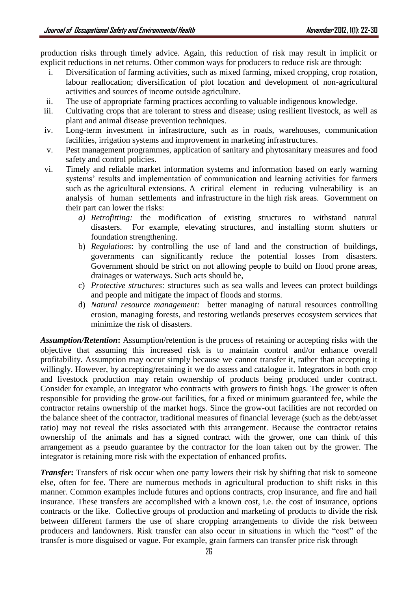production risks through timely advice. Again, this reduction of risk may result in implicit or explicit reductions in net returns. Other common ways for producers to reduce risk are through:

- i. Diversification of farming activities, such as mixed farming, mixed cropping, crop rotation, labour reallocation; diversification of plot location and development of non-agricultural activities and sources of income outside agriculture.
- ii. The use of appropriate farming practices according to valuable indigenous knowledge.
- iii. Cultivating crops that are tolerant to stress and disease; using resilient livestock, as well as plant and animal disease prevention techniques.
- iv. Long-term investment in infrastructure, such as in roads, warehouses, communication facilities, irrigation systems and improvement in marketing infrastructures.
- v. Pest management programmes, application of sanitary and phytosanitary measures and food safety and control policies.
- vi. Timely and reliable market information systems and information based on early warning systems' results and implementation of communication and learning activities for farmers such as the agricultural extensions. A critical element in reducing vulnerability is an analysis of human settlements and infrastructure in the high risk areas. Government on their part can lower the risks:
	- *a) Retrofitting:* the modification of existing structures to withstand natural disasters. For example, elevating structures, and installing storm shutters or foundation strengthening.
	- b) *Regulations*: by controlling the use of land and the construction of buildings, governments can significantly reduce the potential losses from disasters. Government should be strict on not allowing people to build on flood prone areas, drainages or waterways. Such acts should be,
	- c) *Protective structures:* structures such as sea walls and levees can protect buildings and people and mitigate the impact of floods and storms.
	- d) *Natural resource management:* better managing of natural resources controlling erosion, managing forests, and restoring wetlands preserves ecosystem services that minimize the risk of disasters.

*Assumption/Retention***:** Assumption/retention is the process of retaining or accepting risks with the objective that assuming this increased risk is to maintain control and/or enhance overall profitability. Assumption may occur simply because we cannot transfer it, rather than accepting it willingly. However, by accepting/retaining it we do assess and catalogue it. Integrators in both crop and livestock production may retain ownership of products being produced under contract. Consider for example, an integrator who contracts with growers to finish hogs. The grower is often responsible for providing the grow-out facilities, for a fixed or minimum guaranteed fee, while the contractor retains ownership of the market hogs. Since the grow-out facilities are not recorded on the balance sheet of the contractor, traditional measures of financial leverage (such as the debt/asset ratio) may not reveal the risks associated with this arrangement. Because the contractor retains ownership of the animals and has a signed contract with the grower, one can think of this arrangement as a pseudo guarantee by the contractor for the loan taken out by the grower. The integrator is retaining more risk with the expectation of enhanced profits.

*Transfer*: Transfers of risk occur when one party lowers their risk by shifting that risk to someone else, often for fee. There are numerous methods in agricultural production to shift risks in this manner. Common examples include futures and options contracts, crop insurance, and fire and hail insurance. These transfers are accomplished with a known cost, i.e. the cost of insurance, options contracts or the like. Collective groups of production and marketing of products to divide the risk between different farmers the use of share cropping arrangements to divide the risk between producers and landowners. Risk transfer can also occur in situations in which the "cost" of the transfer is more disguised or vague. For example, grain farmers can transfer price risk through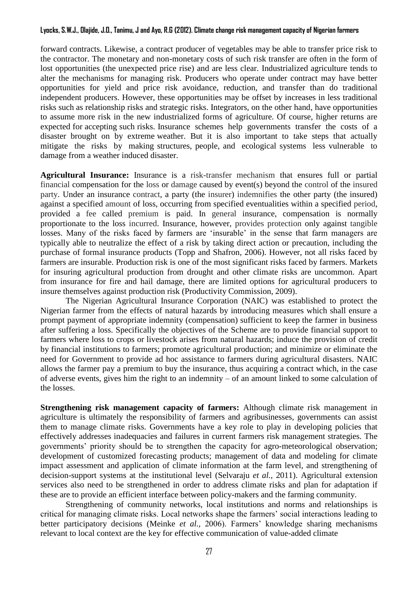forward contracts. Likewise, a contract producer of vegetables may be able to transfer price risk to the contractor. The monetary and non-monetary costs of such risk transfer are often in the form of lost opportunities (the unexpected price rise) and are less clear. Industrialized agriculture tends to alter the mechanisms for managing risk. Producers who operate under contract may have better opportunities for yield and price risk avoidance, reduction, and transfer than do traditional independent producers. However, these opportunities may be offset by increases in less traditional risks such as relationship risks and strategic risks. Integrators, on the other hand, have opportunities to assume more risk in the new industrialized forms of agriculture. Of course, higher returns are expected for accepting such risks. Insurance schemes help governments transfer the costs of a disaster brought on by extreme weather. But it is also important to take steps that actually mitigate the risks by making structures, people, and ecological systems less vulnerable to damage from a weather induced disaster.

**Agricultural Insurance:** Insurance is a [risk-transfer](http://t.ms00.net/s/c?u.qzcr.5.wvft.34tbh) [mechanism](http://t.ms00.net/s/c?u.qzcr.6.wvfu.34tbh) that ensures full or partial [financial](http://t.ms00.net/s/c?u.qzcr.7.wls7.34tbh) compensation for the [loss](http://t.ms00.net/s/c?u.qzcr.8.ws7i.34tbh) or [damage](http://t.ms00.net/s/c?u.qzcr.9.wvfv.34tbh) caused by event(s) beyond the [control](http://t.ms00.net/s/c?u.qzcr.10.wegh.34tbh) of the [insured](http://t.ms00.net/s/c?u.qzcr.11.wdml.34tbh) [party.](http://t.ms00.net/s/c?u.qzcr.12.wdma.34tbh) Under an insurance [contract,](http://t.ms00.net/s/c?u.qzcr.13.wdmg.34tbh) a party (the [insurer\)](http://t.ms00.net/s/c?u.qzcr.14.wvfw.34tbh) [indemnifies](http://t.ms00.net/s/c?u.qzcr.15.wvfx.34tbh) the other party (the insured) against a specified [amount](http://t.ms00.net/s/c?u.qzcr.16.wl3z.34tbh) of loss, occurring from specified eventualities within a specified [period,](http://t.ms00.net/s/c?u.qzcr.17.wdm1.34tbh) provided a [fee](http://t.ms00.net/s/c?u.qzcr.18.wmrh.34tbh) called [premium](http://t.ms00.net/s/c?u.qzcr.19.wvfy.34tbh) is paid. In [general](http://t.ms00.net/s/c?u.qzcr.20.wdls.34tbh) insurance, compensation is normally proportionate to the loss [incurred.](http://t.ms00.net/s/c?u.qzcr.21.wvfz.34tbh) Insurance, however, [provides](http://t.ms00.net/s/c?u.qzcr.30.wjm2.34tbh) [protection](http://t.ms00.net/s/c?u.qzcr.31.wvg4.34tbh) only against [tangible](http://t.ms00.net/s/c?u.qzcr.32.wtmo.34tbh) losses. Many of the risks faced by farmers are 'insurable' in the sense that farm managers are typically able to neutralize the effect of a risk by taking direct action or precaution, including the purchase of formal insurance products (Topp and Shafron, 2006). However, not all risks faced by farmers are insurable. Production risk is one of the most significant risks faced by farmers. Markets for insuring agricultural production from drought and other climate risks are uncommon. Apart from insurance for fire and hail damage, there are limited options for agricultural producers to insure themselves against production risk (Productivity Commission, 2009).

The Nigerian Agricultural Insurance Corporation (NAIC) was established to protect the Nigerian farmer from the effects of natural hazards by introducing measures which shall ensure a prompt payment of appropriate indemnity (compensation) sufficient to keep the farmer in business after suffering a loss. Specifically the objectives of the Scheme are to provide financial support to farmers where loss to crops or livestock arises from natural hazards; induce the provision of credit by financial institutions to farmers; promote agricultural production; and minimize or eliminate the need for Government to provide ad hoc assistance to farmers during agricultural disasters. NAIC allows the farmer pay a premium to buy the insurance, thus acquiring a contract which, in the case of adverse events, gives him the right to an indemnity – of an amount linked to some calculation of the losses.

**Strengthening risk management capacity of farmers:** Although climate risk management in agriculture is ultimately the responsibility of farmers and agribusinesses, governments can assist them to manage climate risks. Governments have a key role to play in developing policies that effectively addresses inadequacies and failures in current farmers risk management strategies. The governments' priority should be to strengthen the capacity for agro-meteorological observation; development of customized forecasting products; management of data and modeling for climate impact assessment and application of climate information at the farm level, and strengthening of decision-support systems at the institutional level (Selvaraju *et al.,* 2011). Agricultural extension services also need to be strengthened in order to address climate risks and plan for adaptation if these are to provide an efficient interface between policy-makers and the farming community.

Strengthening of community networks, local institutions and norms and relationships is critical for managing climate risks. Local networks shape the farmers' social interactions leading to better participatory decisions (Meinke *et al.,* 2006). Farmers' knowledge sharing mechanisms relevant to local context are the key for effective communication of value-added climate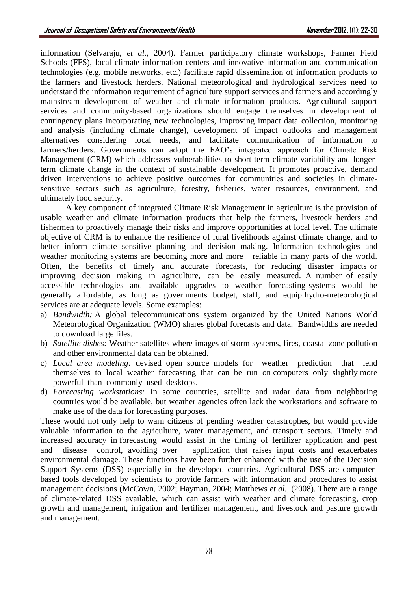information (Selvaraju, *et al.*, 2004). Farmer participatory climate workshops, Farmer Field Schools (FFS), local climate information centers and innovative information and communication technologies (e.g. mobile networks, etc.) facilitate rapid dissemination of information products to the farmers and livestock herders. National meteorological and hydrological services need to understand the information requirement of agriculture support services and farmers and accordingly mainstream development of weather and climate information products. Agricultural support services and community-based organizations should engage themselves in development of contingency plans incorporating new technologies, improving impact data collection, monitoring and analysis (including climate change), development of impact outlooks and management alternatives considering local needs, and facilitate communication of information to farmers/herders. Governments can adopt the FAO's integrated approach for Climate Risk Management (CRM) which addresses vulnerabilities to short-term climate variability and longerterm climate change in the context of sustainable development. It promotes proactive, demand driven interventions to achieve positive outcomes for communities and societies in climatesensitive sectors such as agriculture, forestry, fisheries, water resources, environment, and ultimately food security.

A key component of integrated Climate Risk Management in agriculture is the provision of usable weather and climate information products that help the farmers, livestock herders and fishermen to proactively manage their risks and improve opportunities at local level. The ultimate objective of CRM is to enhance the resilience of rural livelihoods against climate change, and to better inform climate sensitive planning and decision making. Information technologies and weather monitoring systems are becoming more and more reliable in many parts of the world. Often, the benefits of timely and accurate forecasts, for reducing disaster impacts or improving decision making in agriculture, can be easily measured. A number of easily accessible technologies and available upgrades to weather forecasting systems would be generally affordable, as long as governments budget, staff, and equip hydro-meteorological services are at adequate levels. Some examples:

- a) *Bandwidth:* A global telecommunications system organized by the United Nations World Meteorological Organization (WMO) shares global forecasts and data. Bandwidths are needed to download large files.
- b) *Satellite dishes:* Weather satellites where images of storm systems, fires, coastal zone pollution and other environmental data can be obtained.
- c) *Local area modeling:* devised open source models for weather prediction that lend themselves to local weather forecasting that can be run on computers only slightly more powerful than commonly used desktops.
- d) *Forecasting workstations:* In some countries, satellite and radar data from neighboring countries would be available, but weather agencies often lack the workstations and software to make use of the data for forecasting purposes.

These would not only help to warn citizens of pending weather catastrophes, but would provide valuable information to the agriculture, water management, and transport sectors. Timely and increased accuracy in forecasting would assist in the timing of fertilizer application and pest and disease control, avoiding over application that raises input costs and exacerbates environmental damage. These functions have been further enhanced with the use of the Decision Support Systems (DSS) especially in the developed countries. Agricultural DSS are computerbased tools developed by scientists to provide farmers with information and procedures to assist management decisions (McCown, 2002; Hayman, 2004; Matthews *et al.,* (2008). There are a range of climate-related DSS available, which can assist with weather and climate forecasting, crop growth and management, irrigation and fertilizer management, and livestock and pasture growth and management.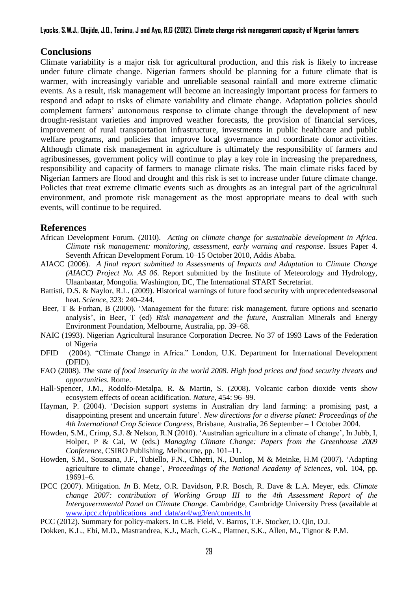## **Conclusions**

Climate variability is a major risk for agricultural production, and this risk is likely to increase under future climate change. Nigerian farmers should be planning for a future climate that is warmer, with increasingly variable and unreliable seasonal rainfall and more extreme climatic events. As a result, risk management will become an increasingly important process for farmers to respond and adapt to risks of climate variability and climate change. Adaptation policies should complement farmers' autonomous response to climate change through the development of new drought-resistant varieties and improved weather forecasts, the provision of financial services, improvement of rural transportation infrastructure, investments in public healthcare and public welfare programs, and policies that improve local governance and coordinate donor activities. Although climate risk management in agriculture is ultimately the responsibility of farmers and agribusinesses, government policy will continue to play a key role in increasing the preparedness, responsibility and capacity of farmers to manage climate risks. The main climate risks faced by Nigerian farmers are flood and drought and this risk is set to increase under future climate change. Policies that treat extreme climatic events such as droughts as an integral part of the agricultural environment, and promote risk management as the most appropriate means to deal with such events, will continue to be required.

## **References**

- African Development Forum. (2010). *Acting on climate change for sustainable development in Africa. Climate risk management: monitoring, assessment, early warning and response*. Issues Paper 4. Seventh African Development Forum. 10–15 October 2010, Addis Ababa.
- AIACC (2006). *A final report submitted to Assessments of Impacts and Adaptation to Climate Change (AIACC) Project No. AS 06*. Report submitted by the Institute of Meteorology and Hydrology, Ulaanbaatar, Mongolia. Washington, DC, The International START Secretariat.
- Battisti, D.S. & Naylor, R.L. (2009). Historical warnings of future food security with unprecedentedseasonal heat. *Science*, 323: 240–244.
- Beer, T & Forhan, B (2000). 'Management for the future: risk management, future options and scenario analysis', in Beer, T (ed) *Risk management and the future*, Australian Minerals and Energy Environment Foundation, Melbourne, Australia, pp. 39–68.
- NAIC (1993). Nigerian Agricultural Insurance Corporation Decree. No 37 of 1993 Laws of the Federation of Nigeria
- DFID (2004). "Climate Change in Africa." London, U.K. Department for International Development (DFID).
- FAO (2008). *The state of food insecurity in the world 2008. High food prices and food security threats and opportunities.* Rome.
- Hall-Spencer, J.M., Rodolfo-Metalpa, R. & Martin, S. (2008). Volcanic carbon dioxide vents show ecosystem effects of ocean acidification. *Nature*, 454: 96–99.
- Hayman, P. (2004). 'Decision support systems in Australian dry land farming: a promising past, a disappointing present and uncertain future'. *New directions for a diverse planet: Proceedings of the 4th International Crop Science Congress*, Brisbane, Australia, 26 September – 1 October 2004.
- Howden, S.M., Crimp, S.J. & Nelson, R.N (2010). 'Australian agriculture in a climate of change', In Jubb, I, Holper, P & Cai, W (eds.) *Managing Climate Change: Papers from the Greenhouse 2009 Conference*, CSIRO Publishing, Melbourne, pp. 101–11.
- Howden, S.M., Soussana, J.F., Tubiello, F.N., Chhetri, N., Dunlop, M & Meinke, H.M (2007). 'Adapting agriculture to climate change', *Proceedings of the National Academy of Sciences*, vol. 104, pp. 19691–6.
- IPCC (2007). Mitigation. *In* B. Metz, O.R. Davidson, P.R. Bosch, R. Dave & L.A. Meyer, eds. *Climate change 2007: contribution of Working Group III to the 4th Assessment Report of the Intergovernmental Panel on Climate Change.* Cambridge, Cambridge University Press (available at [www.ipcc.ch/publications\\_and\\_data/ar4/wg3/en/contents.ht](http://www.ipcc.ch/publications_and_data/ar4/wg3/en/contents.ht)

PCC (2012). Summary for policy-makers. In C.B. Field, V. Barros, T.F. Stocker, D. Qin, D.J.

Dokken, K.L., Ebi, M.D., Mastrandrea, K.J., Mach, G.-K., Plattner, S.K., Allen, M., Tignor & P.M.